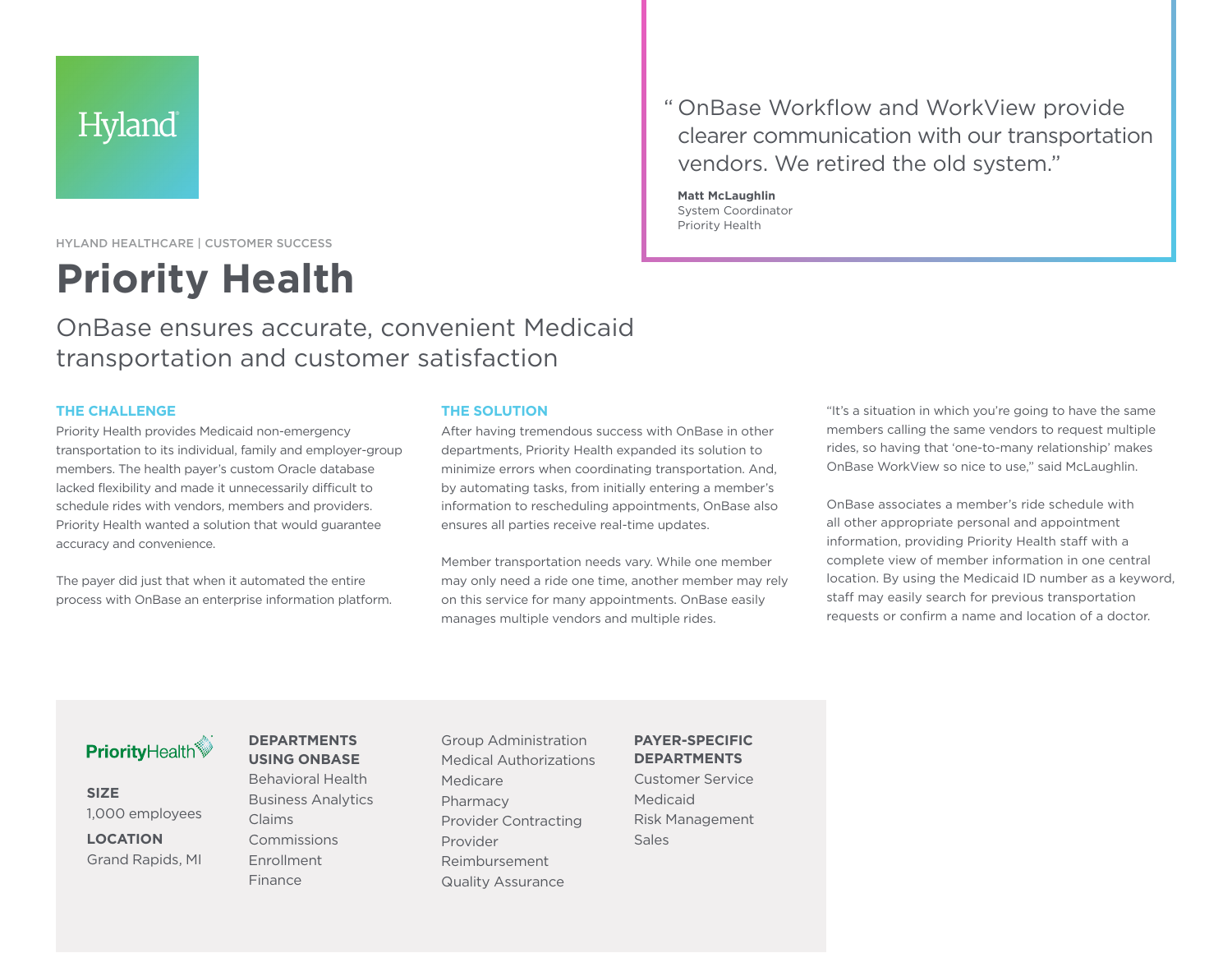## Hyland

HYLAND HEALTHCARE | CUSTOMER SUCCESS

# **Priority Health**

## OnBase ensures accurate, convenient Medicaid transportation and customer satisfaction

#### **THE CHALLENGE**

Priority Health provides Medicaid non-emergency transportation to its individual, family and employer-group members. The health payer's custom Oracle database lacked flexibility and made it unnecessarily difficult to schedule rides with vendors, members and providers. Priority Health wanted a solution that would guarantee accuracy and convenience.

The payer did just that when it automated the entire process with OnBase an enterprise information platform.

#### **THE SOLUTION**

After having tremendous success with OnBase in other departments, Priority Health expanded its solution to minimize errors when coordinating transportation. And, by automating tasks, from initially entering a member's information to rescheduling appointments, OnBase also ensures all parties receive real-time updates.

Member transportation needs vary. While one member may only need a ride one time, another member may rely on this service for many appointments. OnBase easily manages multiple vendors and multiple rides.

"It's a situation in which you're going to have the same members calling the same vendors to request multiple rides, so having that 'one-to-many relationship' makes OnBase WorkView so nice to use," said McLaughlin.

OnBase associates a member's ride schedule with all other appropriate personal and appointment information, providing Priority Health staff with a complete view of member information in one central location. By using the Medicaid ID number as a keyword, staff may easily search for previous transportation requests or confirm a name and location of a doctor.

### **PriorityHealth**

**SIZE** 1,000 employees **LOCATION**

Grand Rapids, MI

#### **DEPARTMENTS USING ONBASE**

Behavioral Health Business Analytics Claims Commissions Enrollment Finance

Group Administration Medical Authorizations Medicare Pharmacy Provider Contracting Provider Reimbursement Quality Assurance

**PAYER-SPECIFIC DEPARTMENTS** Customer Service

Medicaid Risk Management **Sales** 

" OnBase Workflow and WorkView provide clearer communication with our transportation vendors. We retired the old system."

**Matt McLaughlin** System Coordinator Priority Health